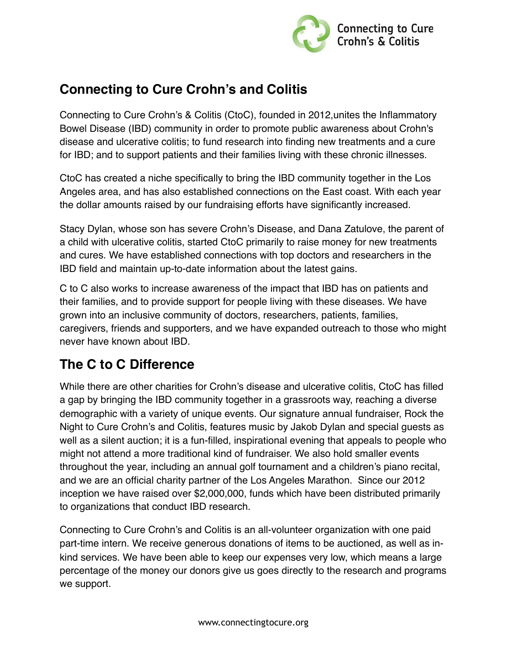

# **Connecting to Cure Crohn's and Colitis**

Connecting to Cure Crohn's & Colitis (CtoC), founded in 2012,unites the Inflammatory Bowel Disease (IBD) community in order to promote public awareness about Crohn's disease and ulcerative colitis; to fund research into finding new treatments and a cure for IBD; and to support patients and their families living with these chronic illnesses.

CtoC has created a niche specifically to bring the IBD community together in the Los Angeles area, and has also established connections on the East coast. With each year the dollar amounts raised by our fundraising efforts have significantly increased.

Stacy Dylan, whose son has severe Crohn's Disease, and Dana Zatulove, the parent of a child with ulcerative colitis, started CtoC primarily to raise money for new treatments and cures. We have established connections with top doctors and researchers in the IBD field and maintain up-to-date information about the latest gains.

C to C also works to increase awareness of the impact that IBD has on patients and their families, and to provide support for people living with these diseases. We have grown into an inclusive community of doctors, researchers, patients, families, caregivers, friends and supporters, and we have expanded outreach to those who might never have known about IBD.

# **The C to C Difference**

While there are other charities for Crohn's disease and ulcerative colitis, CtoC has filled a gap by bringing the IBD community together in a grassroots way, reaching a diverse demographic with a variety of unique events. Our signature annual fundraiser, Rock the Night to Cure Crohn's and Colitis, features music by Jakob Dylan and special guests as well as a silent auction; it is a fun-filled, inspirational evening that appeals to people who might not attend a more traditional kind of fundraiser. We also hold smaller events throughout the year, including an annual golf tournament and a children's piano recital, and we are an official charity partner of the Los Angeles Marathon. Since our 2012 inception we have raised over \$2,000,000, funds which have been distributed primarily to organizations that conduct IBD research.

Connecting to Cure Crohn's and Colitis is an all-volunteer organization with one paid part-time intern. We receive generous donations of items to be auctioned, as well as inkind services. We have been able to keep our expenses very low, which means a large percentage of the money our donors give us goes directly to the research and programs we support.